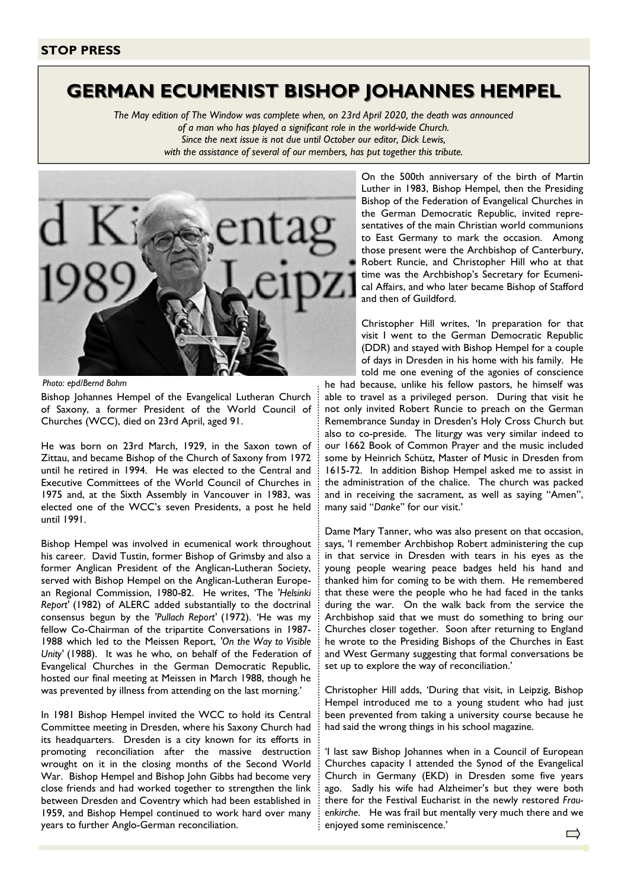## GERMAN ECUMENIST BISHOP JOHANNES HEMPEL

The May edition of The Window was complete when, on 23rd April 2020, the death was announced of a man who has played a significant role in the world-wide Church. Since the next issue is not due until October our editor, Dick Lewis,

with the assistance of several of our members, has put together this tribute.



Photo: epd/Bernd Bohm

Bishop Johannes Hempel of the Evangelical Lutheran Church of Saxony, a former President of the World Council of Churches (WCC), died on 23rd April, aged 91.

He was born on 23rd March, 1929, in the Saxon town of Zittau, and became Bishop of the Church of Saxony from 1972 until he retired in 1994. He was elected to the Central and Executive Committees of the World Council of Churches in 1975 and, at the Sixth Assembly in Vancouver in 1983, was elected one of the WCC's seven Presidents, a post he held until 1991.

Bishop Hempel was involved in ecumenical work throughout his career. David Tustin, former Bishop of Grimsby and also a former Anglican President of the Anglican-Lutheran Society, served with Bishop Hempel on the Anglican-Lutheran European Regional Commission, 1980-82. He writes, 'The 'Helsinki Report' (1982) of ALERC added substantially to the doctrinal consensus begun by the 'Pullach Report' (1972). 'He was my fellow Co-Chairman of the tripartite Conversations in 1987- 1988 which led to the Meissen Report, 'On the Way to Visible Unity' (1988). It was he who, on behalf of the Federation of Evangelical Churches in the German Democratic Republic, hosted our final meeting at Meissen in March 1988, though he was prevented by illness from attending on the last morning.'

In 1981 Bishop Hempel invited the WCC to hold its Central Committee meeting in Dresden, where his Saxony Church had its headquarters. Dresden is a city known for its efforts in promoting reconciliation after the massive destruction wrought on it in the closing months of the Second World War. Bishop Hempel and Bishop John Gibbs had become very close friends and had worked together to strengthen the link between Dresden and Coventry which had been established in 1959, and Bishop Hempel continued to work hard over many years to further Anglo-German reconciliation.

On the 500th anniversary of the birth of Martin Luther in 1983, Bishop Hempel, then the Presiding Bishop of the Federation of Evangelical Churches in the German Democratic Republic, invited representatives of the main Christian world communions to East Germany to mark the occasion. Among those present were the Archbishop of Canterbury, Robert Runcie, and Christopher Hill who at that time was the Archbishop's Secretary for Ecumenical Affairs, and who later became Bishop of Stafford and then of Guildford.

Christopher Hill writes, 'In preparation for that visit I went to the German Democratic Republic (DDR) and stayed with Bishop Hempel for a couple of days in Dresden in his home with his family. He told me one evening of the agonies of conscience he had because, unlike his fellow pastors, he himself was able to travel as a privileged person. During that visit he not only invited Robert Runcie to preach on the German Remembrance Sunday in Dresden's Holy Cross Church but also to co-preside. The liturgy was very similar indeed to our 1662 Book of Common Prayer and the music included some by Heinrich Schütz, Master of Music in Dresden from 1615-72. In addition Bishop Hempel asked me to assist in the administration of the chalice. The church was packed and in receiving the sacrament, as well as saying "Amen", many said "Danke" for our visit.'

Dame Mary Tanner, who was also present on that occasion, says, 'I remember Archbishop Robert administering the cup in that service in Dresden with tears in his eyes as the young people wearing peace badges held his hand and thanked him for coming to be with them. He remembered that these were the people who he had faced in the tanks during the war. On the walk back from the service the Archbishop said that we must do something to bring our Churches closer together. Soon after returning to England he wrote to the Presiding Bishops of the Churches in East and West Germany suggesting that formal conversations be set up to explore the way of reconciliation.'

Christopher Hill adds, 'During that visit, in Leipzig, Bishop Hempel introduced me to a young student who had just been prevented from taking a university course because he had said the wrong things in his school magazine.

'I last saw Bishop Johannes when in a Council of European Churches capacity I attended the Synod of the Evangelical Church in Germany (EKD) in Dresden some five years ago. Sadly his wife had Alzheimer's but they were both there for the Festival Eucharist in the newly restored Frauenkirche. He was frail but mentally very much there and we enjoyed some reminiscence.'